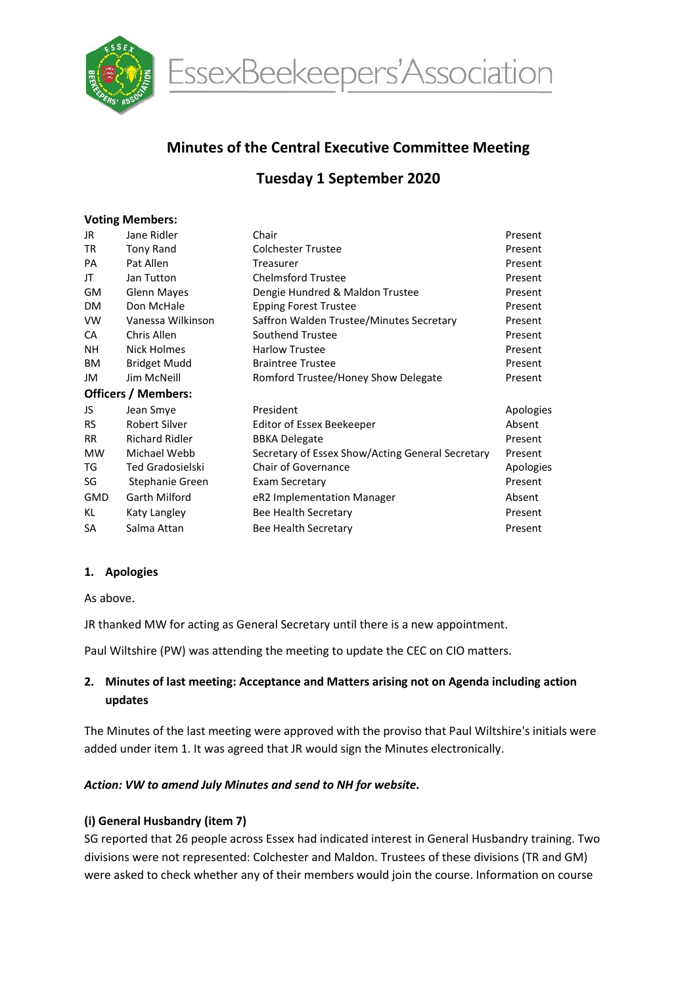

EssexBeekeepers'Association

# Minutes of the Central Executive Committee Meeting

# Tuesday 1 September 2020

### Voting Members:

| Jane Ridler                | Chair                                            | Present   |
|----------------------------|--------------------------------------------------|-----------|
| <b>Tony Rand</b>           | <b>Colchester Trustee</b>                        | Present   |
| Pat Allen                  | Treasurer                                        | Present   |
| Jan Tutton                 | <b>Chelmsford Trustee</b>                        | Present   |
| <b>Glenn Mayes</b>         | Dengie Hundred & Maldon Trustee                  | Present   |
| Don McHale                 | <b>Epping Forest Trustee</b>                     | Present   |
| Vanessa Wilkinson          | Saffron Walden Trustee/Minutes Secretary         | Present   |
| Chris Allen                | Southend Trustee                                 | Present   |
| Nick Holmes                | <b>Harlow Trustee</b>                            | Present   |
| Bridget Mudd               | <b>Braintree Trustee</b>                         | Present   |
| Jim McNeill                | Romford Trustee/Honey Show Delegate              | Present   |
| <b>Officers / Members:</b> |                                                  |           |
| Jean Smye                  | President                                        | Apologies |
| Robert Silver              | Editor of Essex Beekeeper                        | Absent    |
| <b>Richard Ridler</b>      | <b>BBKA Delegate</b>                             | Present   |
| Michael Webb               | Secretary of Essex Show/Acting General Secretary | Present   |
| <b>Ted Gradosielski</b>    | <b>Chair of Governance</b>                       | Apologies |
| Stephanie Green            | Exam Secretary                                   | Present   |
| Garth Milford              | eR2 Implementation Manager                       | Absent    |
| Katy Langley               | Bee Health Secretary                             | Present   |
| Salma Attan                | Bee Health Secretary                             | Present   |
|                            |                                                  |           |

#### 1. Apologies

As above.

JR thanked MW for acting as General Secretary until there is a new appointment.

Paul Wiltshire (PW) was attending the meeting to update the CEC on CIO matters.

# 2. Minutes of last meeting: Acceptance and Matters arising not on Agenda including action updates

The Minutes of the last meeting were approved with the proviso that Paul Wiltshire's initials were added under item 1. It was agreed that JR would sign the Minutes electronically.

### Action: VW to amend July Minutes and send to NH for website.

### (i) General Husbandry (item 7)

SG reported that 26 people across Essex had indicated interest in General Husbandry training. Two divisions were not represented: Colchester and Maldon. Trustees of these divisions (TR and GM) were asked to check whether any of their members would join the course. Information on course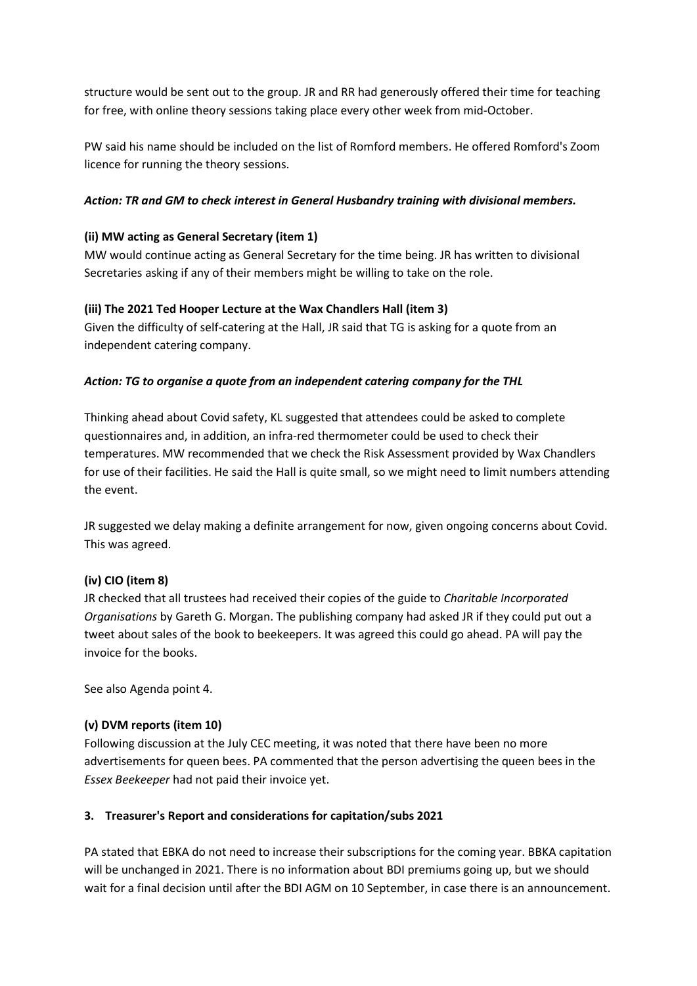structure would be sent out to the group. JR and RR had generously offered their time for teaching for free, with online theory sessions taking place every other week from mid-October.

PW said his name should be included on the list of Romford members. He offered Romford's Zoom licence for running the theory sessions.

## Action: TR and GM to check interest in General Husbandry training with divisional members.

## (ii) MW acting as General Secretary (item 1)

MW would continue acting as General Secretary for the time being. JR has written to divisional Secretaries asking if any of their members might be willing to take on the role.

# (iii) The 2021 Ted Hooper Lecture at the Wax Chandlers Hall (item 3)

Given the difficulty of self-catering at the Hall, JR said that TG is asking for a quote from an independent catering company.

### Action: TG to organise a quote from an independent catering company for the THL

Thinking ahead about Covid safety, KL suggested that attendees could be asked to complete questionnaires and, in addition, an infra-red thermometer could be used to check their temperatures. MW recommended that we check the Risk Assessment provided by Wax Chandlers for use of their facilities. He said the Hall is quite small, so we might need to limit numbers attending the event.

JR suggested we delay making a definite arrangement for now, given ongoing concerns about Covid. This was agreed.

### (iv) CIO (item 8)

JR checked that all trustees had received their copies of the guide to Charitable Incorporated Organisations by Gareth G. Morgan. The publishing company had asked JR if they could put out a tweet about sales of the book to beekeepers. It was agreed this could go ahead. PA will pay the invoice for the books.

See also Agenda point 4.

### (v) DVM reports (item 10)

Following discussion at the July CEC meeting, it was noted that there have been no more advertisements for queen bees. PA commented that the person advertising the queen bees in the Essex Beekeeper had not paid their invoice yet.

### 3. Treasurer's Report and considerations for capitation/subs 2021

PA stated that EBKA do not need to increase their subscriptions for the coming year. BBKA capitation will be unchanged in 2021. There is no information about BDI premiums going up, but we should wait for a final decision until after the BDI AGM on 10 September, in case there is an announcement.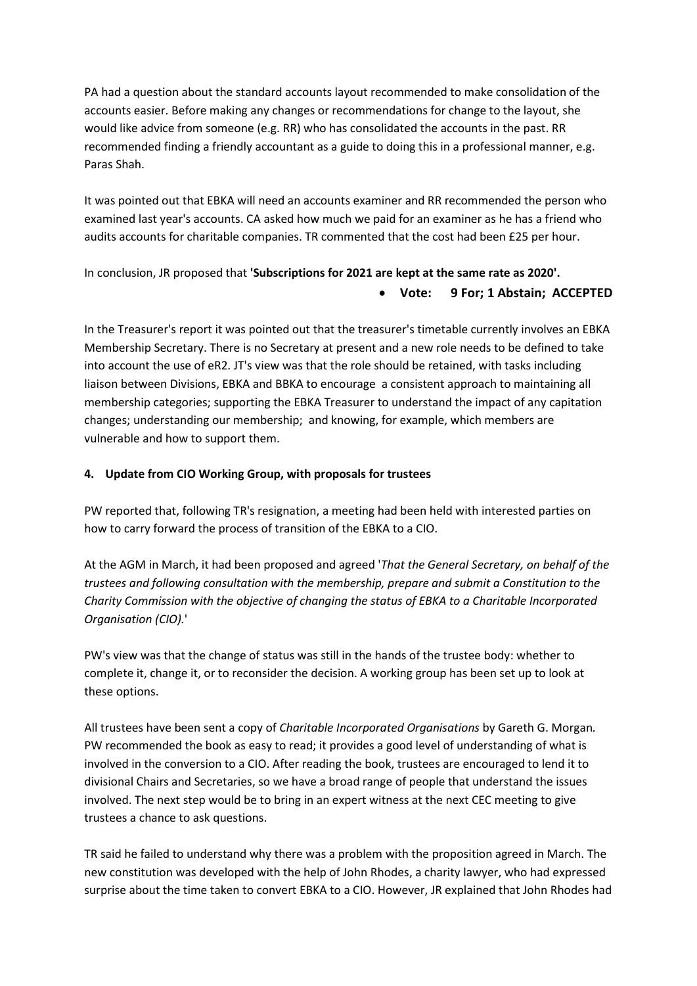PA had a question about the standard accounts layout recommended to make consolidation of the accounts easier. Before making any changes or recommendations for change to the layout, she would like advice from someone (e.g. RR) who has consolidated the accounts in the past. RR recommended finding a friendly accountant as a guide to doing this in a professional manner, e.g. Paras Shah.

It was pointed out that EBKA will need an accounts examiner and RR recommended the person who examined last year's accounts. CA asked how much we paid for an examiner as he has a friend who audits accounts for charitable companies. TR commented that the cost had been £25 per hour.

In conclusion, JR proposed that 'Subscriptions for 2021 are kept at the same rate as 2020'.

### Vote: 9 For; 1 Abstain; ACCEPTED

In the Treasurer's report it was pointed out that the treasurer's timetable currently involves an EBKA Membership Secretary. There is no Secretary at present and a new role needs to be defined to take into account the use of eR2. JT's view was that the role should be retained, with tasks including liaison between Divisions, EBKA and BBKA to encourage a consistent approach to maintaining all membership categories; supporting the EBKA Treasurer to understand the impact of any capitation changes; understanding our membership; and knowing, for example, which members are vulnerable and how to support them.

### 4. Update from CIO Working Group, with proposals for trustees

PW reported that, following TR's resignation, a meeting had been held with interested parties on how to carry forward the process of transition of the EBKA to a CIO.

At the AGM in March, it had been proposed and agreed 'That the General Secretary, on behalf of the trustees and following consultation with the membership, prepare and submit a Constitution to the Charity Commission with the objective of changing the status of EBKA to a Charitable Incorporated Organisation (CIO).'

PW's view was that the change of status was still in the hands of the trustee body: whether to complete it, change it, or to reconsider the decision. A working group has been set up to look at these options.

All trustees have been sent a copy of Charitable Incorporated Organisations by Gareth G. Morgan. PW recommended the book as easy to read; it provides a good level of understanding of what is involved in the conversion to a CIO. After reading the book, trustees are encouraged to lend it to divisional Chairs and Secretaries, so we have a broad range of people that understand the issues involved. The next step would be to bring in an expert witness at the next CEC meeting to give trustees a chance to ask questions.

TR said he failed to understand why there was a problem with the proposition agreed in March. The new constitution was developed with the help of John Rhodes, a charity lawyer, who had expressed surprise about the time taken to convert EBKA to a CIO. However, JR explained that John Rhodes had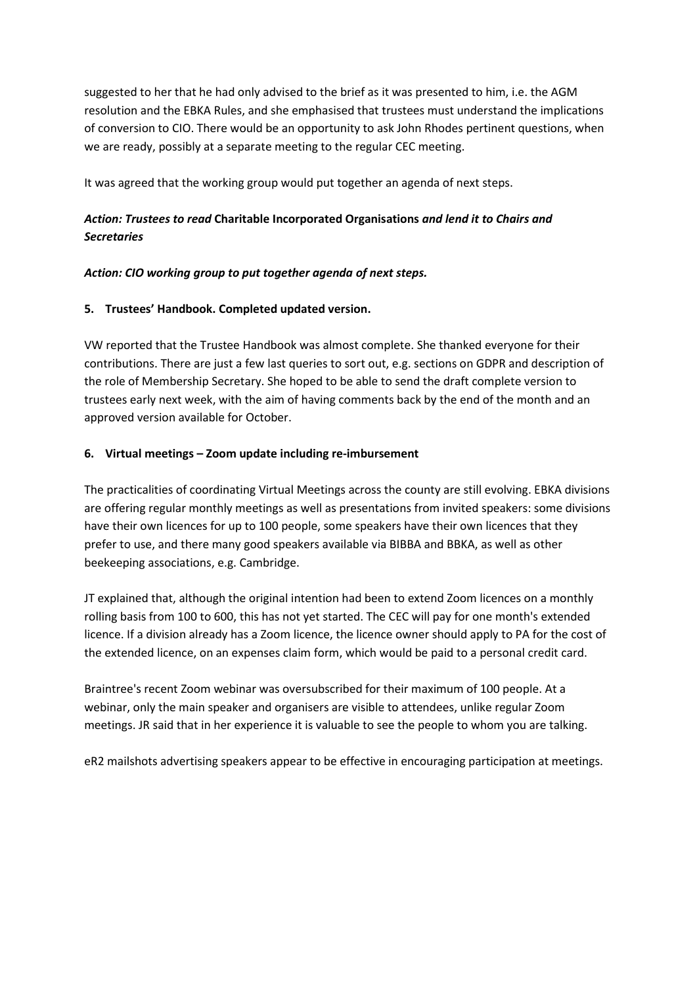suggested to her that he had only advised to the brief as it was presented to him, i.e. the AGM resolution and the EBKA Rules, and she emphasised that trustees must understand the implications of conversion to CIO. There would be an opportunity to ask John Rhodes pertinent questions, when we are ready, possibly at a separate meeting to the regular CEC meeting.

It was agreed that the working group would put together an agenda of next steps.

# Action: Trustees to read Charitable Incorporated Organisations and lend it to Chairs and **Secretaries**

### Action: CIO working group to put together agenda of next steps.

### 5. Trustees' Handbook. Completed updated version.

VW reported that the Trustee Handbook was almost complete. She thanked everyone for their contributions. There are just a few last queries to sort out, e.g. sections on GDPR and description of the role of Membership Secretary. She hoped to be able to send the draft complete version to trustees early next week, with the aim of having comments back by the end of the month and an approved version available for October.

### 6. Virtual meetings – Zoom update including re-imbursement

The practicalities of coordinating Virtual Meetings across the county are still evolving. EBKA divisions are offering regular monthly meetings as well as presentations from invited speakers: some divisions have their own licences for up to 100 people, some speakers have their own licences that they prefer to use, and there many good speakers available via BIBBA and BBKA, as well as other beekeeping associations, e.g. Cambridge.

JT explained that, although the original intention had been to extend Zoom licences on a monthly rolling basis from 100 to 600, this has not yet started. The CEC will pay for one month's extended licence. If a division already has a Zoom licence, the licence owner should apply to PA for the cost of the extended licence, on an expenses claim form, which would be paid to a personal credit card.

Braintree's recent Zoom webinar was oversubscribed for their maximum of 100 people. At a webinar, only the main speaker and organisers are visible to attendees, unlike regular Zoom meetings. JR said that in her experience it is valuable to see the people to whom you are talking.

eR2 mailshots advertising speakers appear to be effective in encouraging participation at meetings.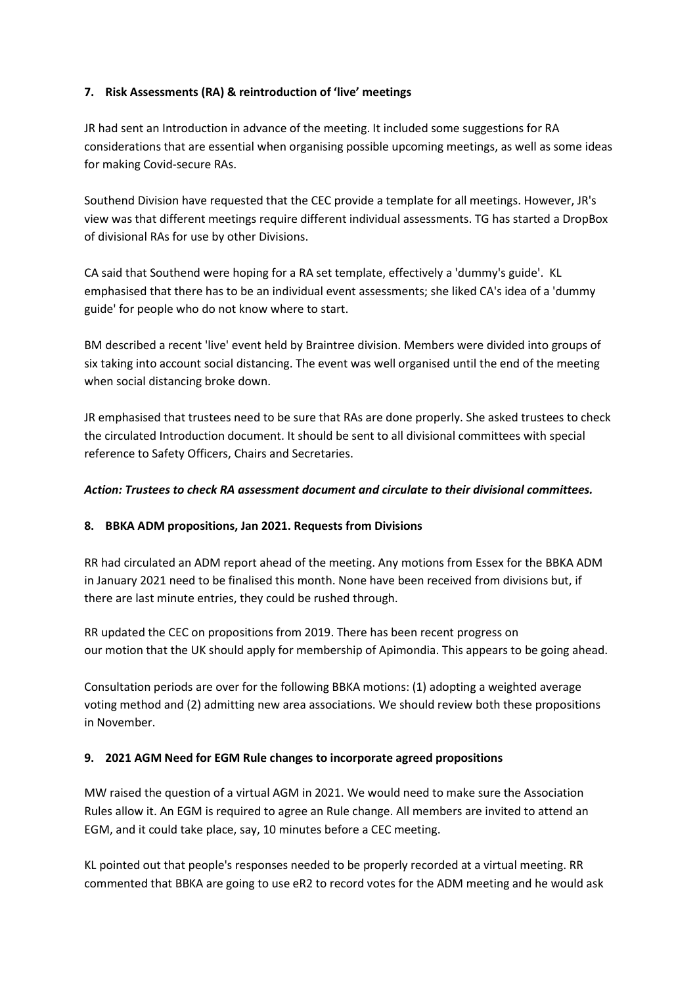## 7. Risk Assessments (RA) & reintroduction of 'live' meetings

JR had sent an Introduction in advance of the meeting. It included some suggestions for RA considerations that are essential when organising possible upcoming meetings, as well as some ideas for making Covid-secure RAs.

Southend Division have requested that the CEC provide a template for all meetings. However, JR's view was that different meetings require different individual assessments. TG has started a DropBox of divisional RAs for use by other Divisions.

CA said that Southend were hoping for a RA set template, effectively a 'dummy's guide'. KL emphasised that there has to be an individual event assessments; she liked CA's idea of a 'dummy guide' for people who do not know where to start.

BM described a recent 'live' event held by Braintree division. Members were divided into groups of six taking into account social distancing. The event was well organised until the end of the meeting when social distancing broke down.

JR emphasised that trustees need to be sure that RAs are done properly. She asked trustees to check the circulated Introduction document. It should be sent to all divisional committees with special reference to Safety Officers, Chairs and Secretaries.

## Action: Trustees to check RA assessment document and circulate to their divisional committees.

### 8. BBKA ADM propositions, Jan 2021. Requests from Divisions

RR had circulated an ADM report ahead of the meeting. Any motions from Essex for the BBKA ADM in January 2021 need to be finalised this month. None have been received from divisions but, if there are last minute entries, they could be rushed through.

RR updated the CEC on propositions from 2019. There has been recent progress on our motion that the UK should apply for membership of Apimondia. This appears to be going ahead.

Consultation periods are over for the following BBKA motions: (1) adopting a weighted average voting method and (2) admitting new area associations. We should review both these propositions in November.

### 9. 2021 AGM Need for EGM Rule changes to incorporate agreed propositions

MW raised the question of a virtual AGM in 2021. We would need to make sure the Association Rules allow it. An EGM is required to agree an Rule change. All members are invited to attend an EGM, and it could take place, say, 10 minutes before a CEC meeting.

KL pointed out that people's responses needed to be properly recorded at a virtual meeting. RR commented that BBKA are going to use eR2 to record votes for the ADM meeting and he would ask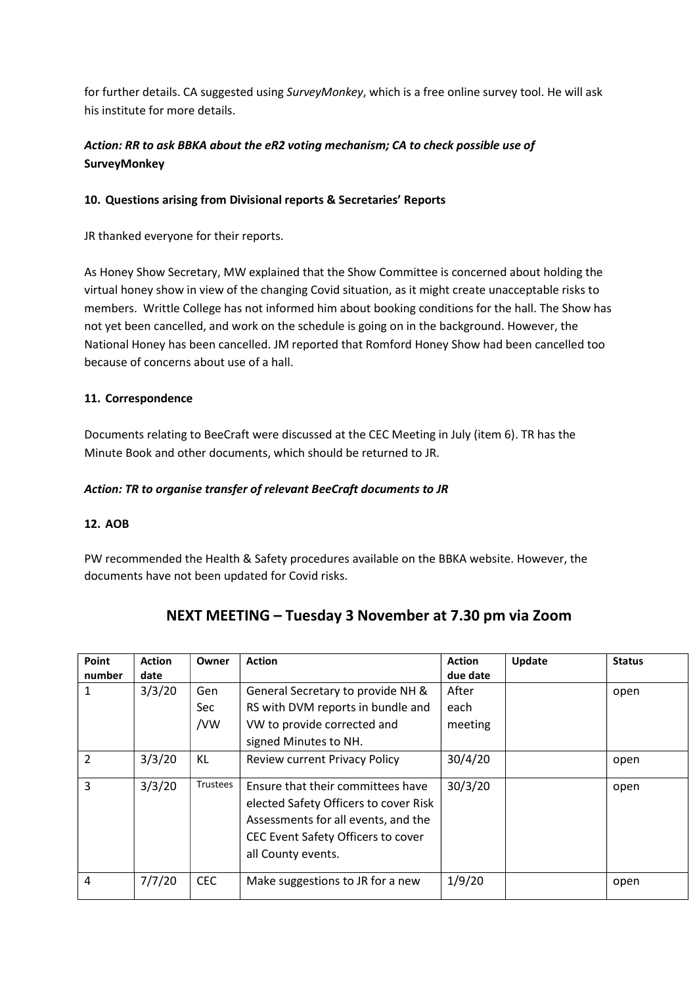for further details. CA suggested using SurveyMonkey, which is a free online survey tool. He will ask his institute for more details.

# Action: RR to ask BBKA about the eR2 voting mechanism; CA to check possible use of SurveyMonkey

## 10. Questions arising from Divisional reports & Secretaries' Reports

JR thanked everyone for their reports.

As Honey Show Secretary, MW explained that the Show Committee is concerned about holding the virtual honey show in view of the changing Covid situation, as it might create unacceptable risks to members. Writtle College has not informed him about booking conditions for the hall. The Show has not yet been cancelled, and work on the schedule is going on in the background. However, the National Honey has been cancelled. JM reported that Romford Honey Show had been cancelled too because of concerns about use of a hall.

# 11. Correspondence

Documents relating to BeeCraft were discussed at the CEC Meeting in July (item 6). TR has the Minute Book and other documents, which should be returned to JR.

## Action: TR to organise transfer of relevant BeeCraft documents to JR

### 12. AOB

PW recommended the Health & Safety procedures available on the BBKA website. However, the documents have not been updated for Covid risks.

# NEXT MEETING – Tuesday 3 November at 7.30 pm via Zoom

| Point         | <b>Action</b> | Owner           | <b>Action</b>                                                                                                                                                                 | <b>Action</b> | Update | <b>Status</b> |
|---------------|---------------|-----------------|-------------------------------------------------------------------------------------------------------------------------------------------------------------------------------|---------------|--------|---------------|
| number        | date          |                 |                                                                                                                                                                               | due date      |        |               |
| 1             | 3/3/20        | Gen             | General Secretary to provide NH &                                                                                                                                             | After         |        | open          |
|               |               | Sec             | RS with DVM reports in bundle and                                                                                                                                             | each          |        |               |
|               |               | /VW             | VW to provide corrected and                                                                                                                                                   | meeting       |        |               |
|               |               |                 | signed Minutes to NH.                                                                                                                                                         |               |        |               |
| $\mathcal{P}$ | 3/3/20        | KL              | <b>Review current Privacy Policy</b>                                                                                                                                          | 30/4/20       |        | open          |
| 3             | 3/3/20        | <b>Trustees</b> | Ensure that their committees have<br>elected Safety Officers to cover Risk<br>Assessments for all events, and the<br>CEC Event Safety Officers to cover<br>all County events. | 30/3/20       |        | open          |
| 4             | 7/7/20        | <b>CEC</b>      | Make suggestions to JR for a new                                                                                                                                              | 1/9/20        |        | open          |